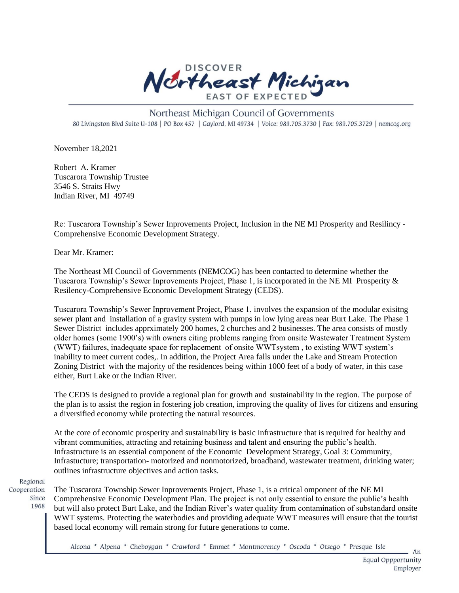

## Northeast Michigan Council of Governments 80 Livingston Blvd Suite U-108 | PO Box 457 | Gaylord, MI 49734 | Voice: 989.705.3730 | Fax: 989.705.3729 | nemcog.org

November 18,2021

Robert A. Kramer Tuscarora Township Trustee 3546 S. Straits Hwy Indian River, MI 49749

Re: Tuscarora Township's Sewer Inprovements Project, Inclusion in the NE MI Prosperity and Resilincy - Comprehensive Economic Development Strategy.

Dear Mr. Kramer:

The Northeast MI Council of Governments (NEMCOG) has been contacted to determine whether the Tuscarora Township's Sewer Inprovements Project, Phase 1, is incorporated in the NE MI Prosperity & Resilency-Comprehensive Economic Development Strategy (CEDS).

Tuscarora Township's Sewer Inprovement Project, Phase 1, involves the expansion of the modular exisitng sewer plant and installation of a gravity system with pumps in low lying areas near Burt Lake. The Phase 1 Sewer District includes apprximately 200 homes, 2 churches and 2 businesses. The area consists of mostly older homes (some 1900's) with owners citing problems ranging from onsite Wastewater Treatment System (WWT) failures, inadequate space for replacement of onsite WWTsystem , to existing WWT system's inability to meet current codes,. In addition, the Project Area falls under the Lake and Stream Protection Zoning District with the majority of the residences being within 1000 feet of a body of water, in this case either, Burt Lake or the Indian River.

The CEDS is designed to provide a regional plan for growth and sustainability in the region. The purpose of the plan is to assist the region in fostering job creation, improving the quality of lives for citizens and ensuring a diversified economy while protecting the natural resources.

At the core of economic prosperity and sustainability is basic infrastructure that is required for healthy and vibrant communities, attracting and retaining business and talent and ensuring the public's health. Infrastructure is an essential component of the Economic Development Strategy, Goal 3: Community, Infrastucture; transportation- motorized and nonmotorized, broadband, wastewater treatment, drinking water; outlines infrastructure objectives and action tasks.

Regional Cooperation

The Tuscarora Township Sewer Inprovements Project, Phase 1, is a critical omponent of the NE MI Since Comprehensive Economic Development Plan. The project is not only essential to ensure the public's health 1968 but will also protect Burt Lake, and the Indian River's water quality from contamination of substandard onsite WWT systems. Protecting the waterbodies and providing adequate WWT measures will ensure that the tourist based local economy will remain strong for future generations to come.

Alcona \* Alpena \* Cheboygan \* Crawford \* Emmet \* Montmorency \* Oscoda \* Otsego \* Presque Isle

 $An$